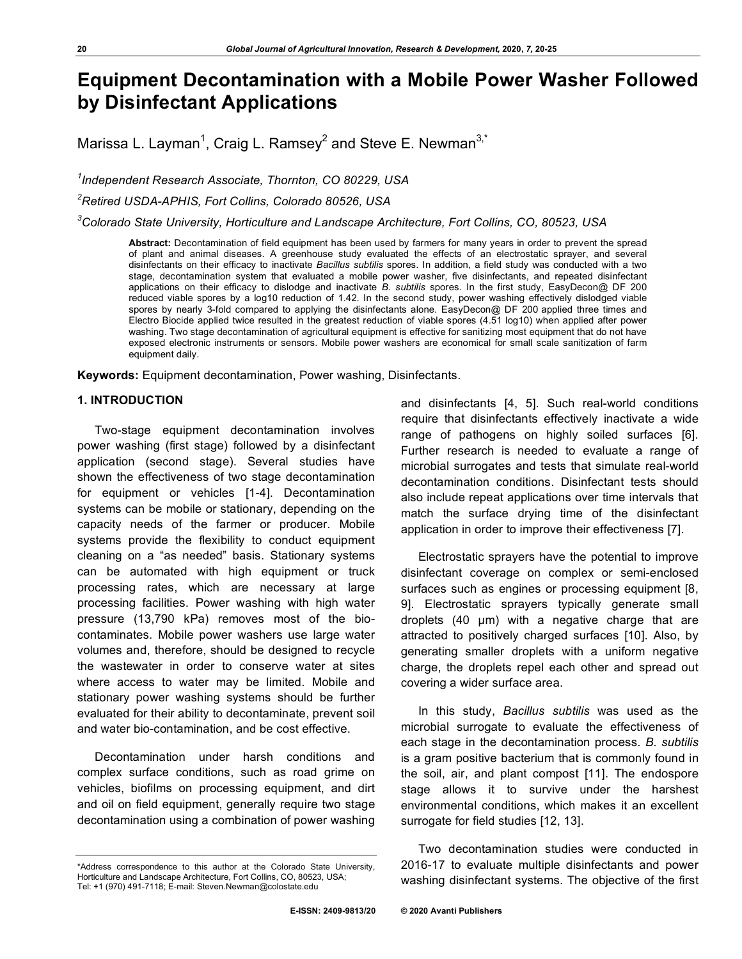# **Equipment Decontamination with a Mobile Power Washer Followed by Disinfectant Applications**

Marissa L. Layman<sup>1</sup>, Craig L. Ramsey<sup>2</sup> and Steve E. Newman<sup>3,\*</sup>

*1 Independent Research Associate, Thornton, CO 80229, USA*

*2 Retired USDA-APHIS, Fort Collins, Colorado 80526, USA*

*3 Colorado State University, Horticulture and Landscape Architecture, Fort Collins, CO, 80523, USA*

**Abstract:** Decontamination of field equipment has been used by farmers for many years in order to prevent the spread of plant and animal diseases. A greenhouse study evaluated the effects of an electrostatic sprayer, and several disinfectants on their efficacy to inactivate *Bacillus subtilis* spores. In addition, a field study was conducted with a two stage, decontamination system that evaluated a mobile power washer, five disinfectants, and repeated disinfectant applications on their efficacy to dislodge and inactivate *B. subtilis* spores. In the first study, EasyDecon@ DF 200 reduced viable spores by a log10 reduction of 1.42. In the second study, power washing effectively dislodged viable spores by nearly 3-fold compared to applying the disinfectants alone. EasyDecon@ DF 200 applied three times and Electro Biocide applied twice resulted in the greatest reduction of viable spores (4.51 log10) when applied after power washing. Two stage decontamination of agricultural equipment is effective for sanitizing most equipment that do not have exposed electronic instruments or sensors. Mobile power washers are economical for small scale sanitization of farm equipment daily.

**Keywords:** Equipment decontamination, Power washing, Disinfectants.

# **1. INTRODUCTION**

Two-stage equipment decontamination involves power washing (first stage) followed by a disinfectant application (second stage). Several studies have shown the effectiveness of two stage decontamination for equipment or vehicles [1-4]. Decontamination systems can be mobile or stationary, depending on the capacity needs of the farmer or producer. Mobile systems provide the flexibility to conduct equipment cleaning on a "as needed" basis. Stationary systems can be automated with high equipment or truck processing rates, which are necessary at large processing facilities. Power washing with high water pressure (13,790 kPa) removes most of the biocontaminates. Mobile power washers use large water volumes and, therefore, should be designed to recycle the wastewater in order to conserve water at sites where access to water may be limited. Mobile and stationary power washing systems should be further evaluated for their ability to decontaminate, prevent soil and water bio-contamination, and be cost effective.

Decontamination under harsh conditions and complex surface conditions, such as road grime on vehicles, biofilms on processing equipment, and dirt and oil on field equipment, generally require two stage decontamination using a combination of power washing and disinfectants [4, 5]. Such real-world conditions require that disinfectants effectively inactivate a wide range of pathogens on highly soiled surfaces [6]. Further research is needed to evaluate a range of microbial surrogates and tests that simulate real-world decontamination conditions. Disinfectant tests should also include repeat applications over time intervals that match the surface drying time of the disinfectant application in order to improve their effectiveness [7].

Electrostatic sprayers have the potential to improve disinfectant coverage on complex or semi-enclosed surfaces such as engines or processing equipment [8, 9]. Electrostatic sprayers typically generate small droplets  $(40 \mu m)$  with a negative charge that are attracted to positively charged surfaces [10]. Also, by generating smaller droplets with a uniform negative charge, the droplets repel each other and spread out covering a wider surface area.

In this study, *Bacillus subtilis* was used as the microbial surrogate to evaluate the effectiveness of each stage in the decontamination process. *B. subtilis*  is a gram positive bacterium that is commonly found in the soil, air, and plant compost [11]. The endospore stage allows it to survive under the harshest environmental conditions, which makes it an excellent surrogate for field studies [12, 13].

Two decontamination studies were conducted in 2016-17 to evaluate multiple disinfectants and power washing disinfectant systems. The objective of the first

<sup>\*</sup>Address correspondence to this author at the Colorado State University, Horticulture and Landscape Architecture, Fort Collins, CO, 80523, USA; Tel: +1 (970) 491-7118; E-mail: Steven.Newman@colostate.edu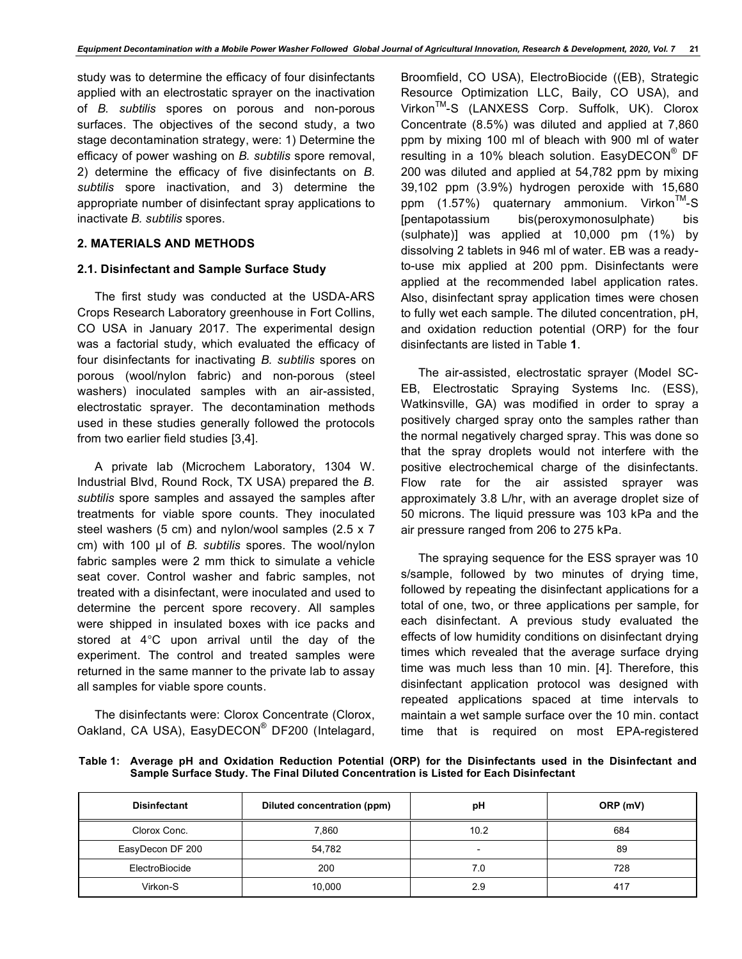study was to determine the efficacy of four disinfectants applied with an electrostatic sprayer on the inactivation of *B. subtilis* spores on porous and non-porous surfaces. The objectives of the second study, a two stage decontamination strategy, were: 1) Determine the efficacy of power washing on *B. subtilis* spore removal, 2) determine the efficacy of five disinfectants on *B. subtilis* spore inactivation, and 3) determine the appropriate number of disinfectant spray applications to inactivate *B. subtilis* spores.

# **2. MATERIALS AND METHODS**

## **2.1. Disinfectant and Sample Surface Study**

The first study was conducted at the USDA-ARS Crops Research Laboratory greenhouse in Fort Collins, CO USA in January 2017. The experimental design was a factorial study, which evaluated the efficacy of four disinfectants for inactivating *B. subtilis* spores on porous (wool/nylon fabric) and non-porous (steel washers) inoculated samples with an air-assisted, electrostatic sprayer. The decontamination methods used in these studies generally followed the protocols from two earlier field studies [3,4].

A private lab (Microchem Laboratory, 1304 W. Industrial Blvd, Round Rock, TX USA) prepared the *B. subtilis* spore samples and assayed the samples after treatments for viable spore counts. They inoculated steel washers (5 cm) and nylon/wool samples (2.5 x 7 cm) with 100 µl of *B. subtilis* spores. The wool/nylon fabric samples were 2 mm thick to simulate a vehicle seat cover. Control washer and fabric samples, not treated with a disinfectant, were inoculated and used to determine the percent spore recovery. All samples were shipped in insulated boxes with ice packs and stored at 4°C upon arrival until the day of the experiment. The control and treated samples were returned in the same manner to the private lab to assay all samples for viable spore counts.

The disinfectants were: Clorox Concentrate (Clorox, Oakland, CA USA), EasyDECON® DF200 (Intelagard, Broomfield, CO USA), ElectroBiocide ((EB), Strategic Resource Optimization LLC, Baily, CO USA), and Virkon<sup>™</sup>-S (LANXESS Corp. Suffolk, UK). Clorox Concentrate (8.5%) was diluted and applied at 7,860 ppm by mixing 100 ml of bleach with 900 ml of water resulting in a 10% bleach solution. EasyDECON® DF 200 was diluted and applied at 54,782 ppm by mixing 39,102 ppm (3.9%) hydrogen peroxide with 15,680 ppm  $(1.57\%)$  quaternary ammonium. Virkon<sup>TM</sup>-S [pentapotassium bis(peroxymonosulphate) bis (sulphate)] was applied at 10,000 pm (1%) by dissolving 2 tablets in 946 ml of water. EB was a readyto-use mix applied at 200 ppm. Disinfectants were applied at the recommended label application rates. Also, disinfectant spray application times were chosen to fully wet each sample. The diluted concentration, pH, and oxidation reduction potential (ORP) for the four disinfectants are listed in Table **1**.

The air-assisted, electrostatic sprayer (Model SC-EB, Electrostatic Spraying Systems Inc. (ESS), Watkinsville, GA) was modified in order to spray a positively charged spray onto the samples rather than the normal negatively charged spray. This was done so that the spray droplets would not interfere with the positive electrochemical charge of the disinfectants. Flow rate for the air assisted sprayer was approximately 3.8 L/hr, with an average droplet size of 50 microns. The liquid pressure was 103 kPa and the air pressure ranged from 206 to 275 kPa.

The spraying sequence for the ESS sprayer was 10 s/sample, followed by two minutes of drying time, followed by repeating the disinfectant applications for a total of one, two, or three applications per sample, for each disinfectant. A previous study evaluated the effects of low humidity conditions on disinfectant drying times which revealed that the average surface drying time was much less than 10 min. [4]. Therefore, this disinfectant application protocol was designed with repeated applications spaced at time intervals to maintain a wet sample surface over the 10 min. contact time that is required on most EPA-registered

**Table 1: Average pH and Oxidation Reduction Potential (ORP) for the Disinfectants used in the Disinfectant and Sample Surface Study. The Final Diluted Concentration is Listed for Each Disinfectant**

| <b>Disinfectant</b> | pH<br>Diluted concentration (ppm) |                          | ORP (mV) |
|---------------------|-----------------------------------|--------------------------|----------|
| Clorox Conc.        | 7,860                             | 10.2                     | 684      |
| EasyDecon DF 200    | 54,782                            | $\overline{\phantom{0}}$ | 89       |
| ElectroBiocide      | 200                               | 7.0                      | 728      |
| Virkon-S<br>10,000  |                                   | 2.9                      | 417      |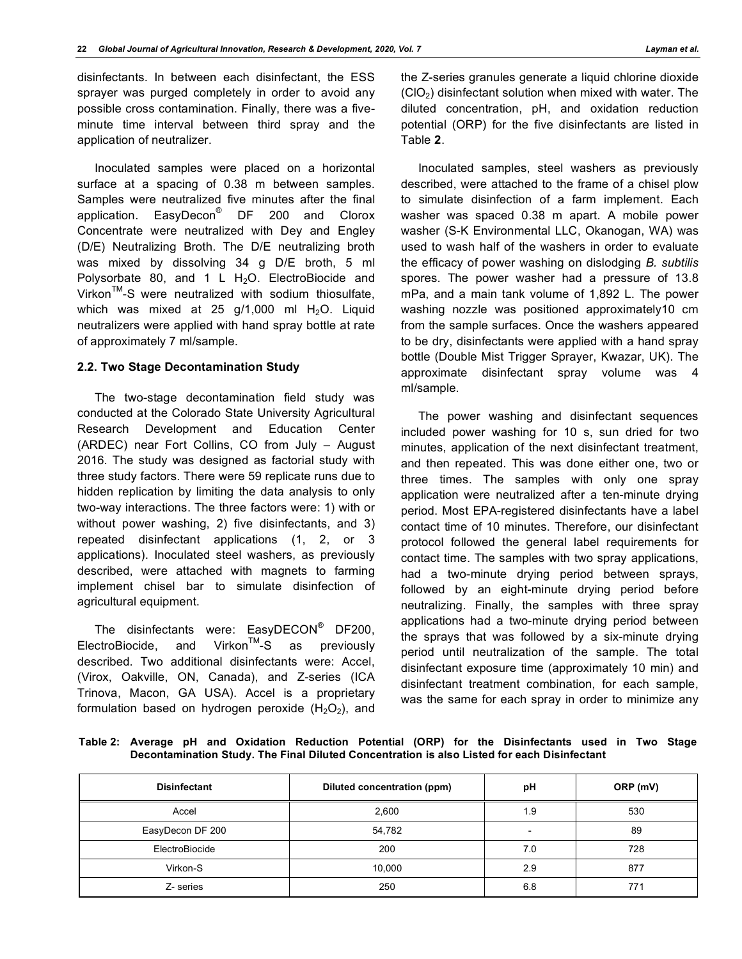disinfectants. In between each disinfectant, the ESS sprayer was purged completely in order to avoid any possible cross contamination. Finally, there was a fiveminute time interval between third spray and the application of neutralizer.

Inoculated samples were placed on a horizontal surface at a spacing of 0.38 m between samples. Samples were neutralized five minutes after the final application. EasyDecon® DF 200 and Clorox Concentrate were neutralized with Dey and Engley (D/E) Neutralizing Broth. The D/E neutralizing broth was mixed by dissolving 34 g D/E broth, 5 ml Polysorbate 80, and 1 L  $H_2O$ . ElectroBiocide and  $Virkon<sup>TM</sup>-S$  were neutralized with sodium thiosulfate, which was mixed at 25  $g/1,000$  ml H<sub>2</sub>O. Liquid neutralizers were applied with hand spray bottle at rate of approximately 7 ml/sample.

### **2.2. Two Stage Decontamination Study**

The two-stage decontamination field study was conducted at the Colorado State University Agricultural Research Development and Education Center (ARDEC) near Fort Collins, CO from July – August 2016. The study was designed as factorial study with three study factors. There were 59 replicate runs due to hidden replication by limiting the data analysis to only two-way interactions. The three factors were: 1) with or without power washing, 2) five disinfectants, and 3) repeated disinfectant applications (1, 2, or 3 applications). Inoculated steel washers, as previously described, were attached with magnets to farming implement chisel bar to simulate disinfection of agricultural equipment.

The disinfectants were: EasyDECON<sup>®</sup> DF200,  $E$ lectroBiocide, and Virkon<sup>TM</sup>-S as previously described. Two additional disinfectants were: Accel, (Virox, Oakville, ON, Canada), and Z-series (ICA Trinova, Macon, GA USA). Accel is a proprietary formulation based on hydrogen peroxide  $(H_2O_2)$ , and

the Z-series granules generate a liquid chlorine dioxide  $(CIO<sub>2</sub>)$  disinfectant solution when mixed with water. The diluted concentration, pH, and oxidation reduction potential (ORP) for the five disinfectants are listed in Table **2**.

Inoculated samples, steel washers as previously described, were attached to the frame of a chisel plow to simulate disinfection of a farm implement. Each washer was spaced 0.38 m apart. A mobile power washer (S-K Environmental LLC, Okanogan, WA) was used to wash half of the washers in order to evaluate the efficacy of power washing on dislodging *B. subtilis* spores. The power washer had a pressure of 13.8 mPa, and a main tank volume of 1,892 L. The power washing nozzle was positioned approximately10 cm from the sample surfaces. Once the washers appeared to be dry, disinfectants were applied with a hand spray bottle (Double Mist Trigger Sprayer, Kwazar, UK). The approximate disinfectant spray volume was 4 ml/sample.

The power washing and disinfectant sequences included power washing for 10 s, sun dried for two minutes, application of the next disinfectant treatment, and then repeated. This was done either one, two or three times. The samples with only one spray application were neutralized after a ten-minute drying period. Most EPA-registered disinfectants have a label contact time of 10 minutes. Therefore, our disinfectant protocol followed the general label requirements for contact time. The samples with two spray applications, had a two-minute drying period between sprays, followed by an eight-minute drying period before neutralizing. Finally, the samples with three spray applications had a two-minute drying period between the sprays that was followed by a six-minute drying period until neutralization of the sample. The total disinfectant exposure time (approximately 10 min) and disinfectant treatment combination, for each sample, was the same for each spray in order to minimize any

**Table 2: Average pH and Oxidation Reduction Potential (ORP) for the Disinfectants used in Two Stage Decontamination Study. The Final Diluted Concentration is also Listed for each Disinfectant**

| <b>Disinfectant</b> | Diluted concentration (ppm) | рH                       | ORP (mV) |
|---------------------|-----------------------------|--------------------------|----------|
| Accel               | 2,600                       | 1.9                      | 530      |
| EasyDecon DF 200    | 54,782                      | $\overline{\phantom{0}}$ | 89       |
| ElectroBiocide      | 200                         | 7.0                      | 728      |
| Virkon-S            | 10,000                      | 2.9                      | 877      |
| Z- series           | 250                         | 6.8                      | 771      |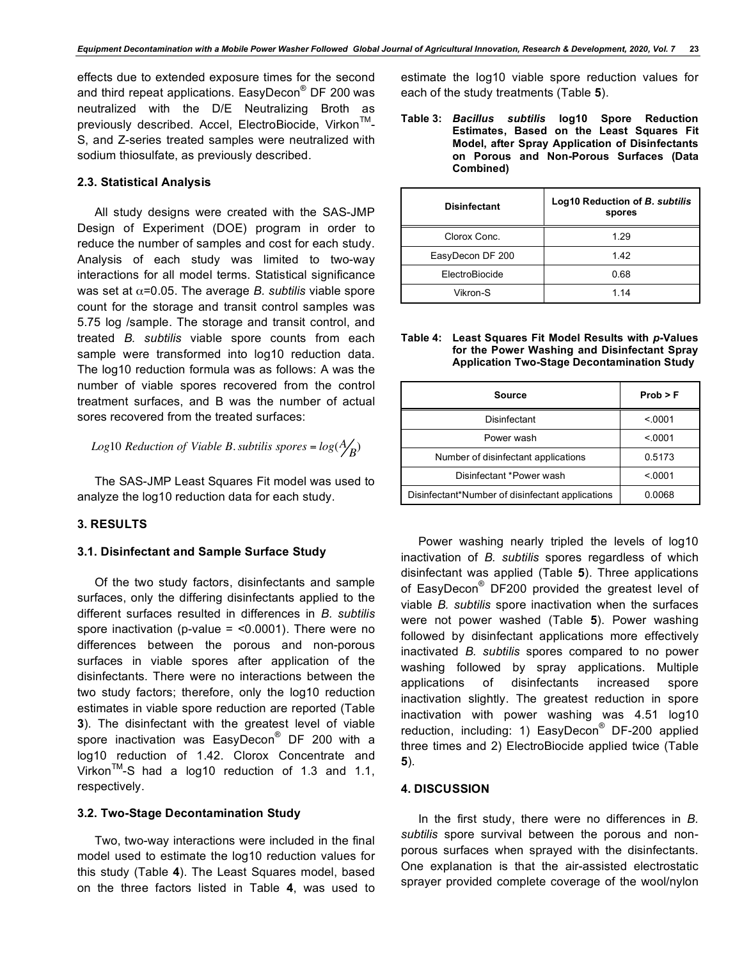effects due to extended exposure times for the second and third repeat applications. EasyDecon<sup>®</sup> DF 200 was neutralized with the D/E Neutralizing Broth as previously described. Accel, ElectroBiocide, Virkon<sup>TM</sup>-S, and Z-series treated samples were neutralized with sodium thiosulfate, as previously described.

## **2.3. Statistical Analysis**

All study designs were created with the SAS-JMP Design of Experiment (DOE) program in order to reduce the number of samples and cost for each study. Analysis of each study was limited to two-way interactions for all model terms. Statistical significance was set at α=0.05. The average *B. subtilis* viable spore count for the storage and transit control samples was 5.75 log /sample. The storage and transit control, and treated *B. subtilis* viable spore counts from each sample were transformed into log10 reduction data. The log10 reduction formula was as follows: A was the number of viable spores recovered from the control treatment surfaces, and B was the number of actual sores recovered from the treated surfaces:

*Log*10 *Reduction of Viable B. subtilis spores* =  $log(A/B)$ 

The SAS-JMP Least Squares Fit model was used to analyze the log10 reduction data for each study.

# **3. RESULTS**

## **3.1. Disinfectant and Sample Surface Study**

Of the two study factors, disinfectants and sample surfaces, only the differing disinfectants applied to the different surfaces resulted in differences in *B. subtilis* spore inactivation (p-value  $=$  <0.0001). There were no differences between the porous and non-porous surfaces in viable spores after application of the disinfectants. There were no interactions between the two study factors; therefore, only the log10 reduction estimates in viable spore reduction are reported (Table **3**). The disinfectant with the greatest level of viable spore inactivation was EasyDecon<sup>®</sup> DF 200 with a log10 reduction of 1.42. Clorox Concentrate and Virkon<sup>TM</sup>-S had a log10 reduction of 1.3 and 1.1, respectively.

## **3.2. Two-Stage Decontamination Study**

Two, two-way interactions were included in the final model used to estimate the log10 reduction values for this study (Table **4**). The Least Squares model, based on the three factors listed in Table **4**, was used to

estimate the log10 viable spore reduction values for each of the study treatments (Table **5**).

**Table 3:** *Bacillus subtilis* **log10 Spore Reduction Estimates, Based on the Least Squares Fit Model, after Spray Application of Disinfectants on Porous and Non-Porous Surfaces (Data Combined)**

| <b>Disinfectant</b> | Log10 Reduction of B. subtilis<br>spores |  |  |
|---------------------|------------------------------------------|--|--|
| Clorox Conc.        | 1 29                                     |  |  |
| EasyDecon DF 200    | 142                                      |  |  |
| ElectroBiocide      | 0.68                                     |  |  |
| Vikron-S            | 1 14                                     |  |  |

### **Table 4: Least Squares Fit Model Results with** *p***-Values for the Power Washing and Disinfectant Spray Application Two-Stage Decontamination Study**

| Source                                           | Prob > F |
|--------------------------------------------------|----------|
| Disinfectant                                     | < 0001   |
| Power wash                                       | < 0001   |
| Number of disinfectant applications              | 0.5173   |
| Disinfectant *Power wash                         | < 0001   |
| Disinfectant*Number of disinfectant applications | 0.0068   |

Power washing nearly tripled the levels of log10 inactivation of *B. subtilis* spores regardless of which disinfectant was applied (Table **5**). Three applications of EasyDecon<sup>®</sup> DF200 provided the greatest level of viable *B. subtilis* spore inactivation when the surfaces were not power washed (Table **5**). Power washing followed by disinfectant applications more effectively inactivated *B. subtilis* spores compared to no power washing followed by spray applications. Multiple applications of disinfectants increased spore inactivation slightly. The greatest reduction in spore inactivation with power washing was 4.51 log10 reduction, including: 1) EasyDecon<sup>®</sup> DF-200 applied three times and 2) ElectroBiocide applied twice (Table **5**).

#### **4. DISCUSSION**

In the first study, there were no differences in *B. subtilis* spore survival between the porous and nonporous surfaces when sprayed with the disinfectants. One explanation is that the air-assisted electrostatic sprayer provided complete coverage of the wool/nylon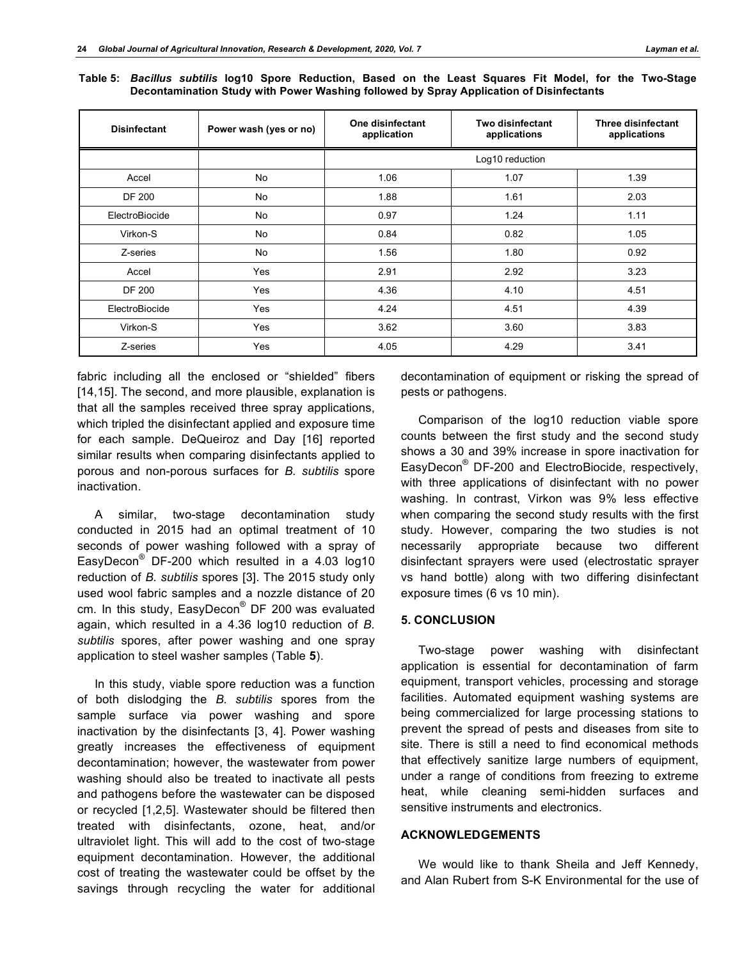| <b>Disinfectant</b> | Power wash (yes or no) | One disinfectant<br>application | Two disinfectant<br>applications | Three disinfectant<br>applications |
|---------------------|------------------------|---------------------------------|----------------------------------|------------------------------------|
|                     |                        | Log10 reduction                 |                                  |                                    |
| Accel               | <b>No</b>              | 1.06                            | 1.07                             | 1.39                               |
| DF 200              | <b>No</b>              | 1.88                            | 1.61                             | 2.03                               |
| ElectroBiocide      | <b>No</b>              | 0.97                            | 1.24                             | 1.11                               |
| Virkon-S            | <b>No</b>              | 0.84                            | 0.82                             | 1.05                               |
| Z-series            | No                     | 1.56                            | 1.80                             | 0.92                               |
| Accel               | Yes                    | 2.91                            | 2.92                             | 3.23                               |
| <b>DF 200</b>       | Yes                    | 4.36                            | 4.10                             | 4.51                               |
| ElectroBiocide      | Yes                    | 4.24                            | 4.51                             | 4.39                               |
| Virkon-S            | Yes                    | 3.62                            | 3.60                             | 3.83                               |
| Z-series            | Yes                    | 4.05                            | 4.29                             | 3.41                               |

**Table 5:** *Bacillus subtilis* **log10 Spore Reduction, Based on the Least Squares Fit Model, for the Two-Stage Decontamination Study with Power Washing followed by Spray Application of Disinfectants**

fabric including all the enclosed or "shielded" fibers [14,15]. The second, and more plausible, explanation is that all the samples received three spray applications, which tripled the disinfectant applied and exposure time for each sample. DeQueiroz and Day [16] reported similar results when comparing disinfectants applied to porous and non-porous surfaces for *B. subtilis* spore inactivation.

A similar, two-stage decontamination study conducted in 2015 had an optimal treatment of 10 seconds of power washing followed with a spray of EasyDecon<sup>®</sup> DF-200 which resulted in a 4.03 log10 reduction of *B. subtilis* spores [3]. The 2015 study only used wool fabric samples and a nozzle distance of 20 cm. In this study, EasyDecon<sup>®</sup> DF 200 was evaluated again, which resulted in a 4.36 log10 reduction of *B. subtilis* spores, after power washing and one spray application to steel washer samples (Table **5**).

In this study, viable spore reduction was a function of both dislodging the *B. subtilis* spores from the sample surface via power washing and spore inactivation by the disinfectants [3, 4]. Power washing greatly increases the effectiveness of equipment decontamination; however, the wastewater from power washing should also be treated to inactivate all pests and pathogens before the wastewater can be disposed or recycled [1,2,5]. Wastewater should be filtered then treated with disinfectants, ozone, heat, and/or ultraviolet light. This will add to the cost of two-stage equipment decontamination. However, the additional cost of treating the wastewater could be offset by the savings through recycling the water for additional

decontamination of equipment or risking the spread of pests or pathogens.

Comparison of the log10 reduction viable spore counts between the first study and the second study shows a 30 and 39% increase in spore inactivation for EasyDecon® DF-200 and ElectroBiocide, respectively, with three applications of disinfectant with no power washing. In contrast, Virkon was 9% less effective when comparing the second study results with the first study. However, comparing the two studies is not necessarily appropriate because two different disinfectant sprayers were used (electrostatic sprayer vs hand bottle) along with two differing disinfectant exposure times (6 vs 10 min).

## **5. CONCLUSION**

Two-stage power washing with disinfectant application is essential for decontamination of farm equipment, transport vehicles, processing and storage facilities. Automated equipment washing systems are being commercialized for large processing stations to prevent the spread of pests and diseases from site to site. There is still a need to find economical methods that effectively sanitize large numbers of equipment, under a range of conditions from freezing to extreme heat, while cleaning semi-hidden surfaces and sensitive instruments and electronics.

# **ACKNOWLEDGEMENTS**

We would like to thank Sheila and Jeff Kennedy, and Alan Rubert from S-K Environmental for the use of